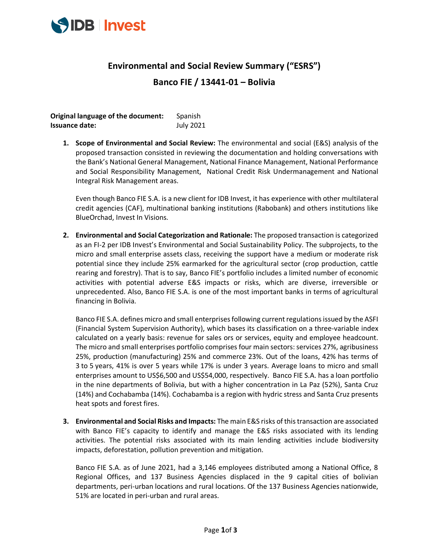

## **Environmental and Social Review Summary ("ESRS")**

## **Banco FIE / 13441-01 – Bolivia**

**Original language of the document:** Spanish **Issuance date:** July 2021

**1. Scope of Environmental and Social Review:** The environmental and social (E&S) analysis of the proposed transaction consisted in reviewing the documentation and holding conversations with the Bank's National General Management, National Finance Management, National Performance and Social Responsibility Management, National Credit Risk Undermanagement and National Integral Risk Management areas.

Even though Banco FIE S.A. is a new client for IDB Invest, it has experience with other multilateral credit agencies (CAF), multinational banking institutions (Rabobank) and others institutions like BlueOrchad, Invest In Visions.

**2. Environmental and Social Categorization and Rationale:** The proposed transaction is categorized as an FI-2 per IDB Invest's Environmental and Social Sustainability Policy. The subprojects, to the micro and small enterprise assets class, receiving the support have a medium or moderate risk potential since they include 25% earmarked for the agricultural sector (crop production, cattle rearing and forestry). That is to say, Banco FIE's portfolio includes a limited number of economic activities with potential adverse E&S impacts or risks, which are diverse, irreversible or unprecedented. Also, Banco FIE S.A. is one of the most important banks in terms of agricultural financing in Bolivia.

Banco FIE S.A. defines micro and small enterprises following current regulations issued by the ASFI (Financial System Supervision Authority), which bases its classification on a three-variable index calculated on a yearly basis: revenue for sales ors or services, equity and employee headcount. The micro and small enterprises portfolio comprises four main sectors: services 27%, agribusiness 25%, production (manufacturing) 25% and commerce 23%. Out of the loans, 42% has terms of 3 to 5 years, 41% is over 5 years while 17% is under 3 years. Average loans to micro and small enterprises amount to US\$6,500 and US\$54,000, respectively. Banco FIE S.A. has a loan portfolio in the nine departments of Bolivia, but with a higher concentration in La Paz (52%), Santa Cruz (14%) and Cochabamba (14%). Cochabamba is a region with hydric stress and Santa Cruz presents heat spots and forest fires.

**3. Environmental and Social Risks and Impacts:** The main E&S risks of this transaction are associated with Banco FIE's capacity to identify and manage the E&S risks associated with its lending activities. The potential risks associated with its main lending activities include biodiversity impacts, deforestation, pollution prevention and mitigation.

Banco FIE S.A. as of June 2021, had a 3,146 employees distributed among a National Office, 8 Regional Offices, and 137 Business Agencies displaced in the 9 capital cities of bolivian departments, peri-urban locations and rural locations. Of the 137 Business Agencies nationwide, 51% are located in peri-urban and rural areas.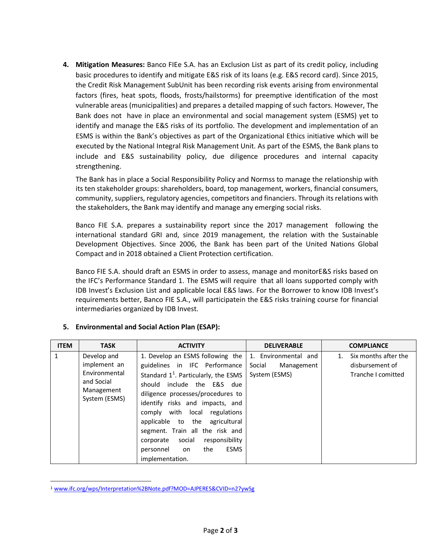**4. Mitigation Measures:** Banco FIEe S.A. has an Exclusion List as part of its credit policy, including basic procedures to identify and mitigate E&S risk of its loans (e.g. E&S record card). Since 2015, the Credit Risk Management SubUnit has been recording risk events arising from environmental factors (fires, heat spots, floods, frosts/hailstorms) for preemptive identification of the most vulnerable areas (municipalities) and prepares a detailed mapping of such factors. However, The Bank does not have in place an environmental and social management system (ESMS) yet to identify and manage the E&S risks of its portfolio. The development and implementation of an ESMS is within the Bank's objectives as part of the Organizational Ethics initiative which will be executed by the National Integral Risk Management Unit. As part of the ESMS, the Bank plans to include and E&S sustainability policy, due diligence procedures and internal capacity strengthening.

The Bank has in place a Social Responsibility Policy and Normss to manage the relationship with its ten stakeholder groups: shareholders, board, top management, workers, financial consumers, community, suppliers, regulatory agencies, competitors and financiers. Through its relations with the stakeholders, the Bank may identify and manage any emerging social risks.

Banco FIE S.A. prepares a sustainability report since the 2017 management following the international standard GRI and, since 2019 management, the relation with the Sustainable Development Objectives. Since 2006, the Bank has been part of the United Nations Global Compact and in 2018 obtained a Client Protection certification.

Banco FIE S.A. should draft an ESMS in order to assess, manage and monitorE&S risks based on the IFC's Performance Standard 1. The ESMS will require that all loans supported comply with IDB Invest's Exclusion List and applicable local E&S laws. For the Borrower to know IDB Invest's requirements better, Banco FIE S.A., will participatein the E&S risks training course for financial intermediaries organized by IDB Invest.

| <b>ITEM</b> | <b>TASK</b>                                                                               | <b>ACTIVITY</b>                                                                                                                                                                                                                                                                                                                                                                                                                        | <b>DELIVERABLE</b>                                            | <b>COMPLIANCE</b>                                             |
|-------------|-------------------------------------------------------------------------------------------|----------------------------------------------------------------------------------------------------------------------------------------------------------------------------------------------------------------------------------------------------------------------------------------------------------------------------------------------------------------------------------------------------------------------------------------|---------------------------------------------------------------|---------------------------------------------------------------|
| 1           | Develop and<br>implement an<br>Environmental<br>and Social<br>Management<br>System (ESMS) | 1. Develop an ESMS following the<br>guidelines in IFC Performance<br>Standard $1^1$ . Particularly, the ESMS<br>include the E&S due<br>should<br>diligence processes/procedures to<br>identify risks and impacts, and<br>comply with local<br>regulations<br>applicable to the<br>agricultural<br>segment. Train all the risk and<br>social<br>responsibility<br>corporate<br><b>ESMS</b><br>the<br>personnel<br>on<br>implementation. | 1. Environmental and<br>Social<br>Management<br>System (ESMS) | Six months after the<br>disbursement of<br>Tranche I comitted |

## **5. Environmental and Social Action Plan (ESAP):**

<span id="page-1-0"></span><sup>1</sup> [www.ifc.org/wps/Interpretation%2BNote.pdf?MOD=AJPERES&CVID=n27ywSg](https://www.ifc.org/wps/wcm/connect/a6de7f69-89c8-4d4a-8cac-1a24ee0df1a3/FI%2BInterpretation%2BNote.pdf?MOD=AJPERES&CVID=n27ywSg)